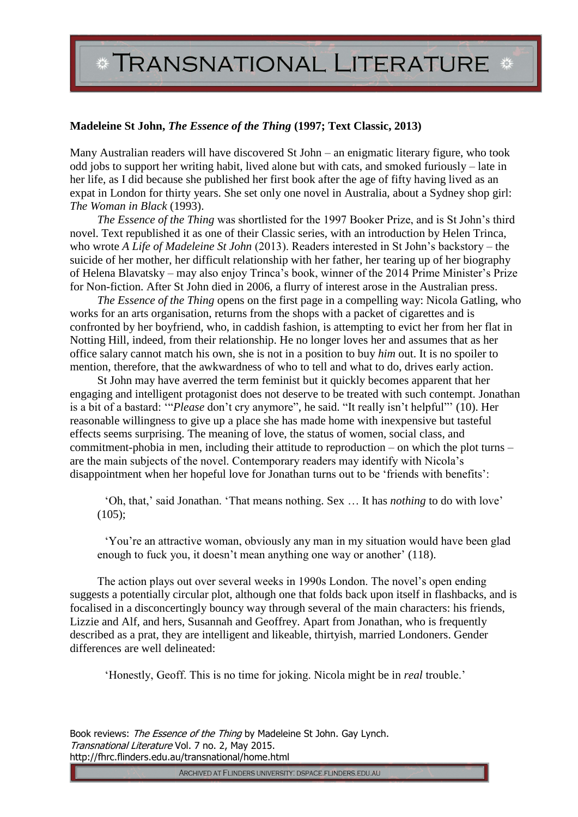## **Madeleine St John,** *The Essence of the Thing* **(1997; Text Classic, 2013)**

Many Australian readers will have discovered St John – an enigmatic literary figure, who took odd jobs to support her writing habit, lived alone but with cats, and smoked furiously – late in her life, as I did because she published her first book after the age of fifty having lived as an expat in London for thirty years. She set only one novel in Australia, about a Sydney shop girl: *The Woman in Black* (1993).

*The Essence of the Thing* was shortlisted for the 1997 Booker Prize, and is St John's third novel. Text republished it as one of their Classic series, with an introduction by Helen Trinca, who wrote *A Life of Madeleine St John* (2013). Readers interested in St John's backstory – the suicide of her mother, her difficult relationship with her father, her tearing up of her biography of Helena Blavatsky – may also enjoy Trinca's book, winner of the 2014 Prime Minister's Prize for Non-fiction. After St John died in 2006, a flurry of interest arose in the Australian press.

*The Essence of the Thing* opens on the first page in a compelling way: Nicola Gatling, who works for an arts organisation, returns from the shops with a packet of cigarettes and is confronted by her boyfriend, who, in caddish fashion, is attempting to evict her from her flat in Notting Hill, indeed, from their relationship. He no longer loves her and assumes that as her office salary cannot match his own, she is not in a position to buy *him* out. It is no spoiler to mention, therefore, that the awkwardness of who to tell and what to do, drives early action.

St John may have averred the term feminist but it quickly becomes apparent that her engaging and intelligent protagonist does not deserve to be treated with such contempt. Jonathan is a bit of a bastard: '"*Please* don't cry anymore", he said. "It really isn't helpful"' (10). Her reasonable willingness to give up a place she has made home with inexpensive but tasteful effects seems surprising. The meaning of love, the status of women, social class, and commitment-phobia in men, including their attitude to reproduction – on which the plot turns – are the main subjects of the novel. Contemporary readers may identify with Nicola's disappointment when her hopeful love for Jonathan turns out to be 'friends with benefits':

'Oh, that,' said Jonathan. 'That means nothing. Sex … It has *nothing* to do with love'  $(105)$ ;

'You're an attractive woman, obviously any man in my situation would have been glad enough to fuck you, it doesn't mean anything one way or another' (118).

The action plays out over several weeks in 1990s London. The novel's open ending suggests a potentially circular plot, although one that folds back upon itself in flashbacks, and is focalised in a disconcertingly bouncy way through several of the main characters: his friends, Lizzie and Alf, and hers, Susannah and Geoffrey. Apart from Jonathan, who is frequently described as a prat, they are intelligent and likeable, thirtyish, married Londoners. Gender differences are well delineated:

'Honestly, Geoff. This is no time for joking. Nicola might be in *real* trouble.'

Book reviews: The Essence of the Thing by Madeleine St John. Gay Lynch. Transnational Literature Vol. 7 no. 2, May 2015. http://fhrc.flinders.edu.au/transnational/home.html

ARCHIVED AT FLINDERS UNIVERSITY: DSPACE.FLINDERS.EDU.AU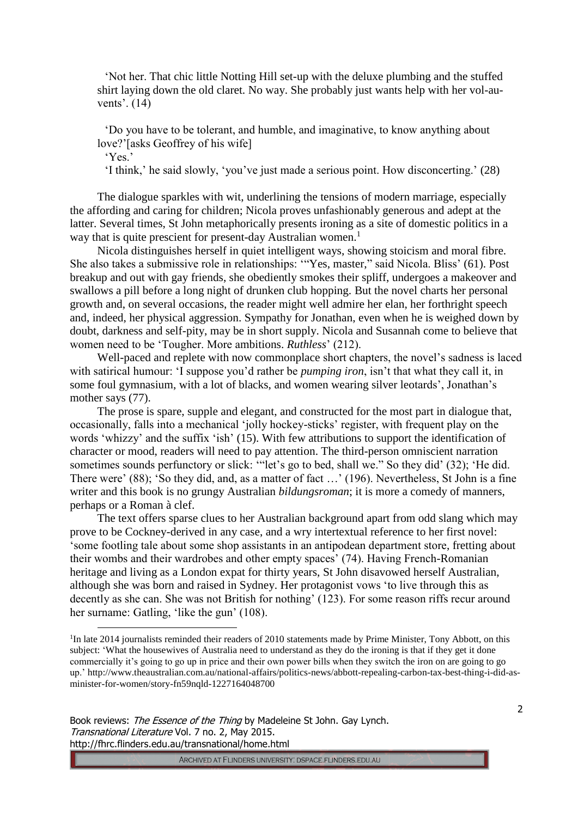'Not her. That chic little Notting Hill set-up with the deluxe plumbing and the stuffed shirt laying down the old claret. No way. She probably just wants help with her vol-auvents'. (14)

'Do you have to be tolerant, and humble, and imaginative, to know anything about love?'[asks Geoffrey of his wife]

'Yes.'

 $\overline{a}$ 

'I think,' he said slowly, 'you've just made a serious point. How disconcerting.' (28)

The dialogue sparkles with wit, underlining the tensions of modern marriage, especially the affording and caring for children; Nicola proves unfashionably generous and adept at the latter. Several times, St John metaphorically presents ironing as a site of domestic politics in a way that is quite prescient for present-day Australian women.<sup>1</sup>

Nicola distinguishes herself in quiet intelligent ways, showing stoicism and moral fibre. She also takes a submissive role in relationships: '"Yes, master," said Nicola. Bliss' (61). Post breakup and out with gay friends, she obediently smokes their spliff, undergoes a makeover and swallows a pill before a long night of drunken club hopping. But the novel charts her personal growth and, on several occasions, the reader might well admire her elan, her forthright speech and, indeed, her physical aggression. Sympathy for Jonathan, even when he is weighed down by doubt, darkness and self-pity, may be in short supply. Nicola and Susannah come to believe that women need to be 'Tougher. More ambitions. *Ruthless*' (212).

Well-paced and replete with now commonplace short chapters, the novel's sadness is laced with satirical humour: 'I suppose you'd rather be *pumping iron*, isn't that what they call it, in some foul gymnasium, with a lot of blacks, and women wearing silver leotards', Jonathan's mother says  $(77)$ .

The prose is spare, supple and elegant, and constructed for the most part in dialogue that, occasionally, falls into a mechanical 'jolly hockey-sticks' register, with frequent play on the words 'whizzy' and the suffix 'ish' (15). With few attributions to support the identification of character or mood, readers will need to pay attention. The third-person omniscient narration sometimes sounds perfunctory or slick: '"let's go to bed, shall we." So they did' (32); 'He did. There were' (88); 'So they did, and, as a matter of fact …' (196). Nevertheless, St John is a fine writer and this book is no grungy Australian *bildungsroman*; it is more a comedy of manners, perhaps or a Roman à clef.

The text offers sparse clues to her Australian background apart from odd slang which may prove to be Cockney-derived in any case, and a wry intertextual reference to her first novel: 'some footling tale about some shop assistants in an antipodean department store, fretting about their wombs and their wardrobes and other empty spaces' (74). Having French-Romanian heritage and living as a London expat for thirty years, St John disavowed herself Australian, although she was born and raised in Sydney. Her protagonist vows 'to live through this as decently as she can. She was not British for nothing' (123). For some reason riffs recur around her surname: Gatling, 'like the gun' (108).

Book reviews: The Essence of the Thing by Madeleine St John. Gay Lynch. Transnational Literature Vol. 7 no. 2, May 2015. http://fhrc.flinders.edu.au/transnational/home.html

ARCHIVED AT FLINDERS UNIVERSITY: DSPACE.FLINDERS.EDU.AU

<sup>&</sup>lt;sup>1</sup>In late 2014 journalists reminded their readers of 2010 statements made by Prime Minister, Tony Abbott, on this subject: 'What the housewives of Australia need to understand as they do the ironing is that if they get it done commercially it's going to go up in price and their own power bills when they switch the iron on are going to go up.' http://www.theaustralian.com.au/national-affairs/politics-news/abbott-repealing-carbon-tax-best-thing-i-did-asminister-for-women/story-fn59nqld-1227164048700